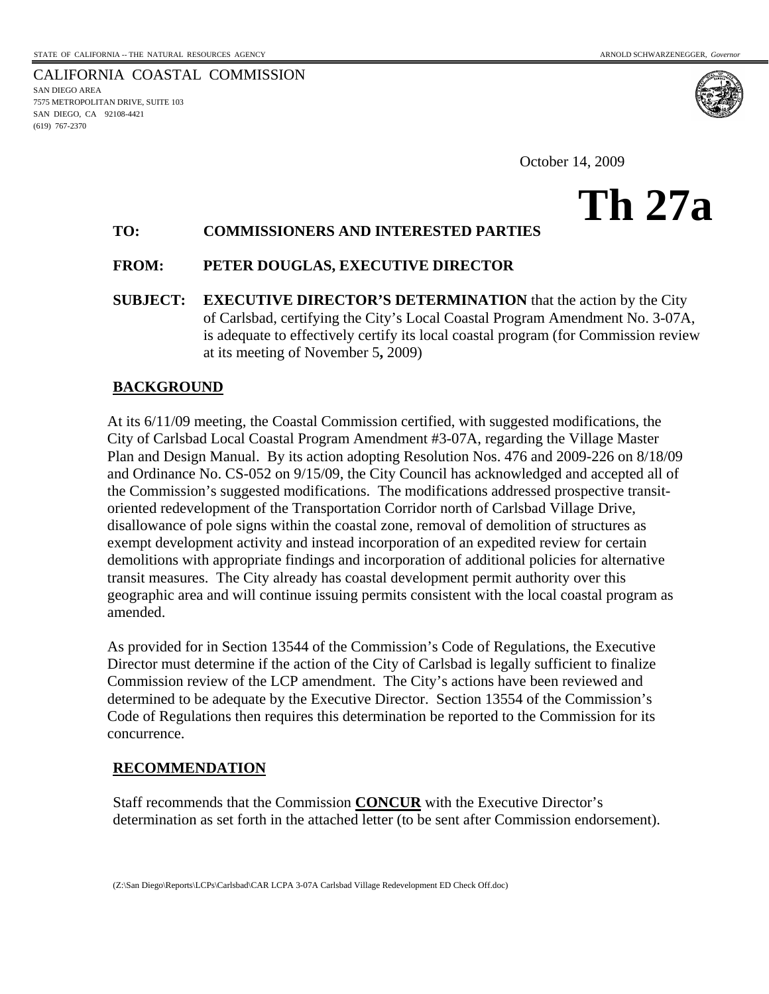7575 METROPOLITAN DRIVE, SUITE 103 SAN DIEGO, CA 92108-4421

(619) 767-2370

CALIFORNIA COASTAL COMMISSION SAN DIEGO AREA

October 14, 2009

## **Th 27a**

## **TO: COMMISSIONERS AND INTERESTED PARTIES**

## **FROM: PETER DOUGLAS, EXECUTIVE DIRECTOR**

**SUBJECT: EXECUTIVE DIRECTOR'S DETERMINATION** that the action by the City of Carlsbad, certifying the City's Local Coastal Program Amendment No. 3-07A, is adequate to effectively certify its local coastal program (for Commission review at its meeting of November 5**,** 2009)

## **BACKGROUND**

At its 6/11/09 meeting, the Coastal Commission certified, with suggested modifications, the City of Carlsbad Local Coastal Program Amendment #3-07A, regarding the Village Master Plan and Design Manual. By its action adopting Resolution Nos. 476 and 2009-226 on 8/18/09 and Ordinance No. CS-052 on 9/15/09, the City Council has acknowledged and accepted all of the Commission's suggested modifications. The modifications addressed prospective transitoriented redevelopment of the Transportation Corridor north of Carlsbad Village Drive, disallowance of pole signs within the coastal zone, removal of demolition of structures as exempt development activity and instead incorporation of an expedited review for certain demolitions with appropriate findings and incorporation of additional policies for alternative transit measures. The City already has coastal development permit authority over this geographic area and will continue issuing permits consistent with the local coastal program as amended.

As provided for in Section 13544 of the Commission's Code of Regulations, the Executive Director must determine if the action of the City of Carlsbad is legally sufficient to finalize Commission review of the LCP amendment. The City's actions have been reviewed and determined to be adequate by the Executive Director. Section 13554 of the Commission's Code of Regulations then requires this determination be reported to the Commission for its concurrence.

## **RECOMMENDATION**

Staff recommends that the Commission **CONCUR** with the Executive Director's determination as set forth in the attached letter (to be sent after Commission endorsement).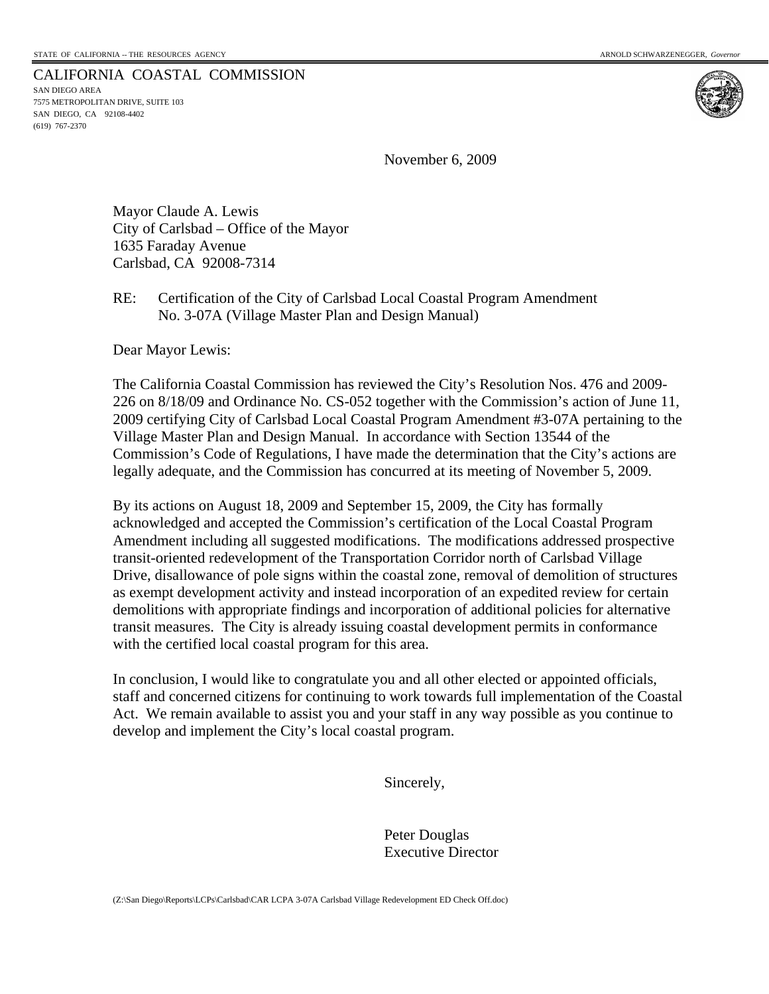CALIFORNIA COASTAL COMMISSION SAN DIEGO AREA 7575 METROPOLITAN DRIVE, SUITE 103 SAN DIEGO, CA 92108-4402 (619) 767-2370

November 6, 2009

Mayor Claude A. Lewis City of Carlsbad – Office of the Mayor 1635 Faraday Avenue Carlsbad, CA 92008-7314

## RE: Certification of the City of Carlsbad Local Coastal Program Amendment No. 3-07A (Village Master Plan and Design Manual)

Dear Mayor Lewis:

The California Coastal Commission has reviewed the City's Resolution Nos. 476 and 2009- 226 on 8/18/09 and Ordinance No. CS-052 together with the Commission's action of June 11, 2009 certifying City of Carlsbad Local Coastal Program Amendment #3-07A pertaining to the Village Master Plan and Design Manual. In accordance with Section 13544 of the Commission's Code of Regulations, I have made the determination that the City's actions are legally adequate, and the Commission has concurred at its meeting of November 5, 2009.

By its actions on August 18, 2009 and September 15, 2009, the City has formally acknowledged and accepted the Commission's certification of the Local Coastal Program Amendment including all suggested modifications. The modifications addressed prospective transit-oriented redevelopment of the Transportation Corridor north of Carlsbad Village Drive, disallowance of pole signs within the coastal zone, removal of demolition of structures as exempt development activity and instead incorporation of an expedited review for certain demolitions with appropriate findings and incorporation of additional policies for alternative transit measures. The City is already issuing coastal development permits in conformance with the certified local coastal program for this area.

In conclusion, I would like to congratulate you and all other elected or appointed officials, staff and concerned citizens for continuing to work towards full implementation of the Coastal Act. We remain available to assist you and your staff in any way possible as you continue to develop and implement the City's local coastal program.

Sincerely,

 Peter Douglas Executive Director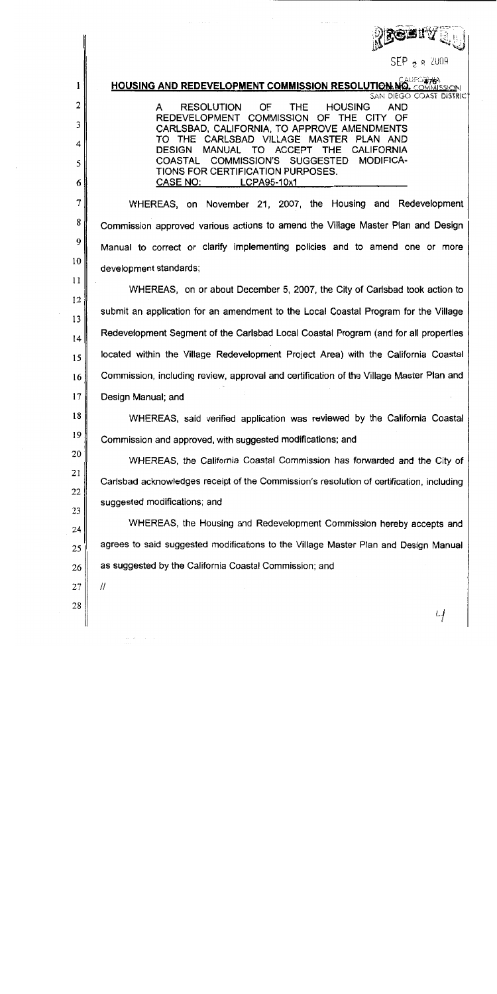|                | bistù                                                                                                                          |
|----------------|--------------------------------------------------------------------------------------------------------------------------------|
|                | $\mathsf{SEP}$ $_{\mathsf{S}}$ $_{\mathsf{R}}$ 2009                                                                            |
| l              | <b>CAUPORTA</b><br><b>HOUSING AND REDEVELOPMENT COMMISSION RESOLUTION NO.</b><br>COMMISSION<br><b>SAN DIEGO COAST DISTRICT</b> |
| $\overline{c}$ | <b>RESOLUTION</b><br>OF<br><b>THE</b><br><b>HOUSING</b><br><b>AND</b><br>A                                                     |
| 3              | REDEVELOPMENT COMMISSION OF THE CITY OF<br>CARLSBAD, CALIFORNIA, TO APPROVE AMENDMENTS                                         |
| 4              | TO THE CARLSBAD VILLAGE MASTER PLAN AND<br>TO ACCEPT THE<br><b>DESIGN</b><br><b>MANUAL</b><br><b>CALIFORNIA</b>                |
| 5              | COASTAL<br>COMMISSION'S SUGGESTED<br><b>MODIFICA-</b><br>TIONS FOR CERTIFICATION PURPOSES.                                     |
| 6              | <b>CASE NO:</b><br>LCPA95-10x1                                                                                                 |
| 7              | WHEREAS, on November 21, 2007, the Housing and Redevelopment                                                                   |
| 8              | Commission approved various actions to amend the Village Master Plan and Design                                                |
| 9              | Manual to correct or clarify implementing policies and to amend one or more                                                    |
| 10             | development standards;                                                                                                         |
| 11             | WHEREAS, on or about December 5, 2007, the City of Carlsbad took action to                                                     |
| 12<br>13       | submit an application for an amendment to the Local Coastal Program for the Village                                            |
| 14             | Redevelopment Segment of the Carlsbad Local Coastal Program (and for all properties                                            |
| 15             | located within the Village Redevelopment Project Area) with the California Coastal                                             |
| 16             | Commission, including review, approval and certification of the Village Master Plan and                                        |
| 17             | Design Manual; and                                                                                                             |
| 18             | WHEREAS, said verified application was reviewed by the California Coastal                                                      |
| 19             | Commission and approved, with suggested modifications; and                                                                     |
| 20             | WHEREAS, the California Coastal Commission has forwarded and the City of                                                       |
| 21             | Carlsbad acknowledges receipt of the Commission's resolution of certification, including                                       |
| 22             | suggested modifications; and                                                                                                   |
| 23<br>24       | WHEREAS, the Housing and Redevelopment Commission hereby accepts and                                                           |
| 25             | agrees to said suggested modifications to the Village Master Plan and Design Manual                                            |
| 26             | as suggested by the California Coastal Commission; and                                                                         |
| 27             | $^{\prime\prime}$                                                                                                              |
| 28             |                                                                                                                                |
|                | Lf                                                                                                                             |

 $\sim$ 

 $\label{eq:1} \frac{1}{\left\| \left( \frac{1}{\sqrt{2}} \right)^2 \left( \frac{1}{\sqrt{2}} \right)^2} \right\|_{\mathcal{H}^1} = \frac{1}{\sqrt{2}} \left( \frac{1}{\sqrt{2}} \right)^2 \left( \frac{1}{\sqrt{2}} \right)^2.$ 

 $\sim$   $\sim$   $\sim$   $\sim$   $\sim$   $\sim$   $\sim$ 

 $\mathcal{L}_{\text{max}}$  and  $\mathcal{L}_{\text{max}}$  are the sequence of  $\mathcal{L}_{\text{max}}$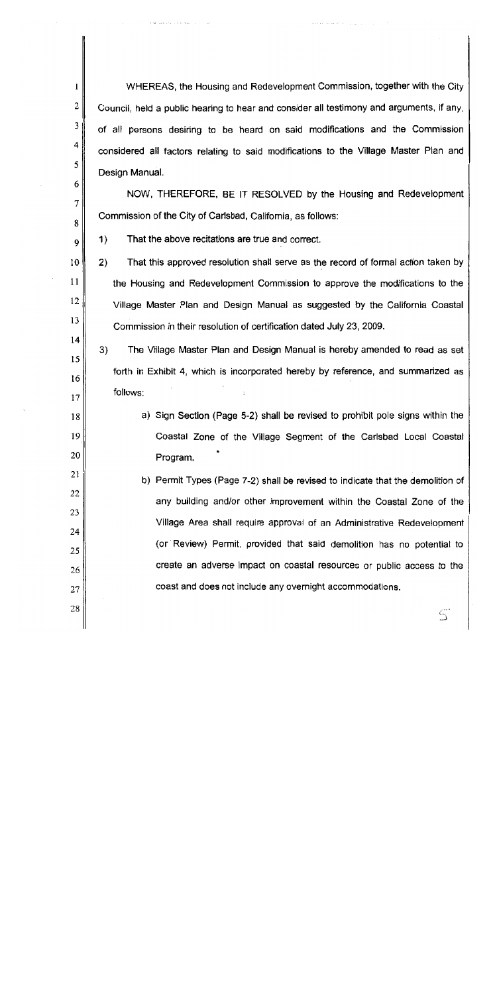WHEREAS, the Housing and Redevelopment Commission, together with the City Council, held a public hearing to hear and consider all testimony and arguments, if any, of all persons desiring to be heard on said modifications and the Commission considered all factors relating to said modifications to the Village Master Plan and Design Manual.

NOW, THEREFORE, BE IT RESOLVED by the Housing and Redevelopment Commission of the City of Carlsbad, California, as follows:

 $1)$ That the above recitations are true and correct.

1

2

3

4

5

6

7

8

9

10

11

12

13

 $14$ 

15

16

17

18

19

20

28

 $2)$ That this approved resolution shall serve as the record of formal action taken by the Housing and Redevelopment Commission to approve the modifications to the Village Master Plan and Design Manual as suggested by the California Coastal Commission in their resolution of certification dated July 23, 2009.

3) The Village Master Plan and Design Manual is hereby amended to read as set forth in Exhibit 4, which is incorporated hereby by reference, and summarized as follows:

a) Sign Section (Page 5-2) shall be revised to prohibit pole signs within the Coastal Zone of the Village Segment of the Carlsbad Local Coastal Program.

21 b) Permit Types (Page 7-2) shall be revised to indicate that the demolition of 22 any building and/or other improvement within the Coastal Zone of the 23 Village Area shall require approval of an Administrative Redevelopment 24 (or Review) Permit, provided that said demolition has no potential to 25 create an adverse impact on coastal resources or public access to the 26 coast and does not include any overnight accommodations. 27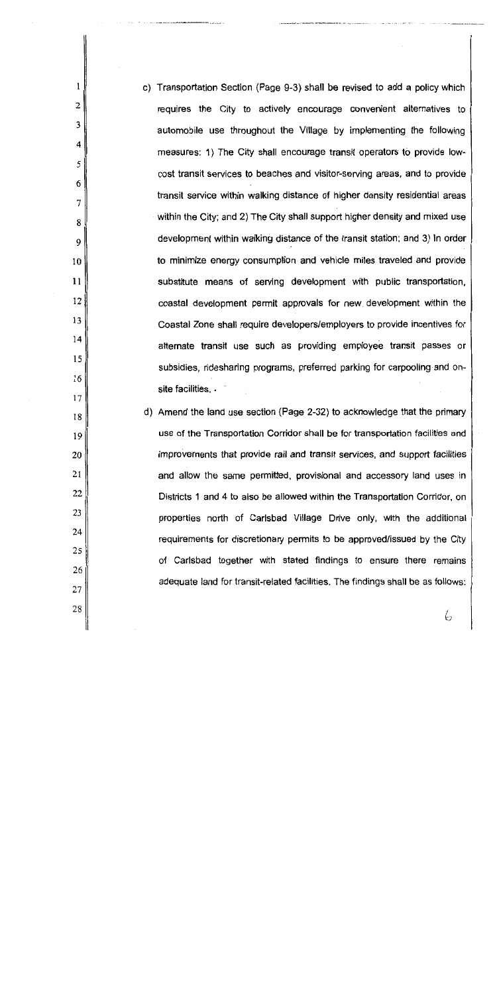| c) Transportation Section (Page 9-3) shall be revised to add a policy which   |
|-------------------------------------------------------------------------------|
| requires the City to actively encourage convenient alternatives to            |
| automobile use throughout the Village by implementing the following           |
| measures: 1) The City shall encourage transit operators to provide low-       |
| cost transit services to beaches and visitor-serving areas, and to provide    |
| transit service within walking distance of higher density residential areas   |
| within the City; and 2) The City shall support higher density and mixed use   |
| development within walking distance of the transit station; and 3) In order   |
| to minimize energy consumption and vehicle miles traveled and provide         |
| substitute means of serving development with public transportation,           |
| coastal development permit approvals for new development within the           |
| Coastal Zone shall require developers/employers to provide incentives for     |
| alternate transit use such as providing employee transit passes or            |
| subsidies, ridesharing programs, preferred parking for carpooling and on-     |
| site facilities. .                                                            |
| d) Amend the land use section (Page 2-32) to acknowledge that the primary     |
| use of the Transportation Corridor shall be for transportation facilities and |

 $\mathbf{1}$ 

 $\overline{2}$ 

 $\overline{4}$ 

 $\overline{7}$ 

improvements that provide rail and transit services, and support facilities and allow the same permitted, provisional and accessory land uses in Districts 1 and 4 to also be allowed within the Transportation Corridor, on properties north of Carlsbad Village Drive only, with the additional requirements for discretionary permits to be approved/issued by the City of Carlsbad together with stated findings to ensure there remains adequate land for transit-related facilities. The findings shall be as follows: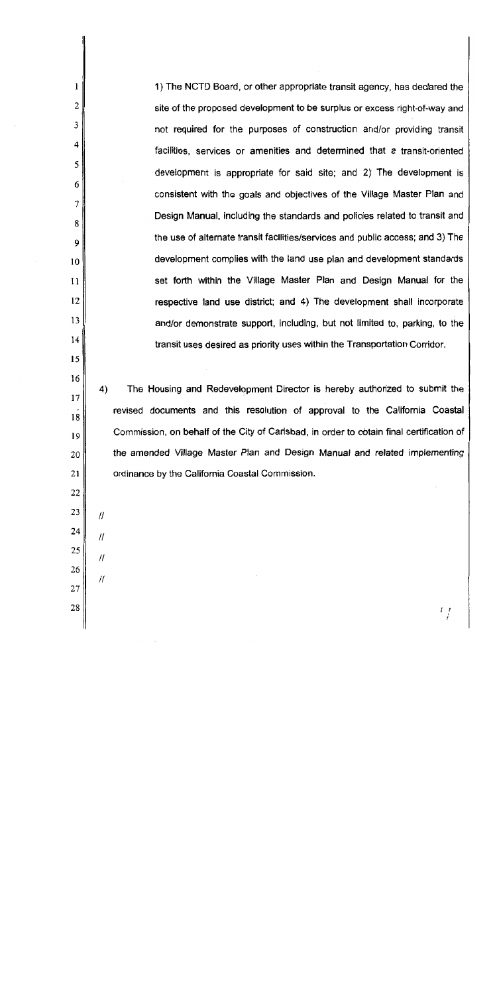1) The NCTD Board, or other appropriate transit agency, has declared the site of the proposed development to be surplus or excess right-of-way and not required for the purposes of construction and/or providing transit facilities, services or amenities and determined that a transit-oriented development is appropriate for said site; and 2) The development is consistent with the goals and objectives of the Village Master Plan and Design Manual, including the standards and policies related to transit and the use of alternate transit facilities/services and public access; and 3) The development complies with the land use plan and development standards set forth within the Village Master Plan and Design Manual for the respective land use district; and 4) The development shall incorporate and/or demonstrate support, including, but not limited to, parking, to the transit uses desired as priority uses within the Transportation Corridor.

 $4)$ The Housing and Redevelopment Director is hereby authorized to submit the revised documents and this resolution of approval to the California Coastal Commission, on behalf of the City of Carlsbad, in order to obtain final certification of the amended Village Master Plan and Design Manual and related implementing ordinance by the California Coastal Commission.

 $\frac{I}{I}$ 

27 28

1

 $\overline{2}$ 

3

4

5

6

7

8

9

 $10$ 

 $11$ 

12

13

 $14$ 

15

16

 $17$ 

18

19

20

21

22

23

24

25

26

 $^{\prime\prime}$ 

 $\mathcal{H}$ 

 $\mathcal{H}$ 

11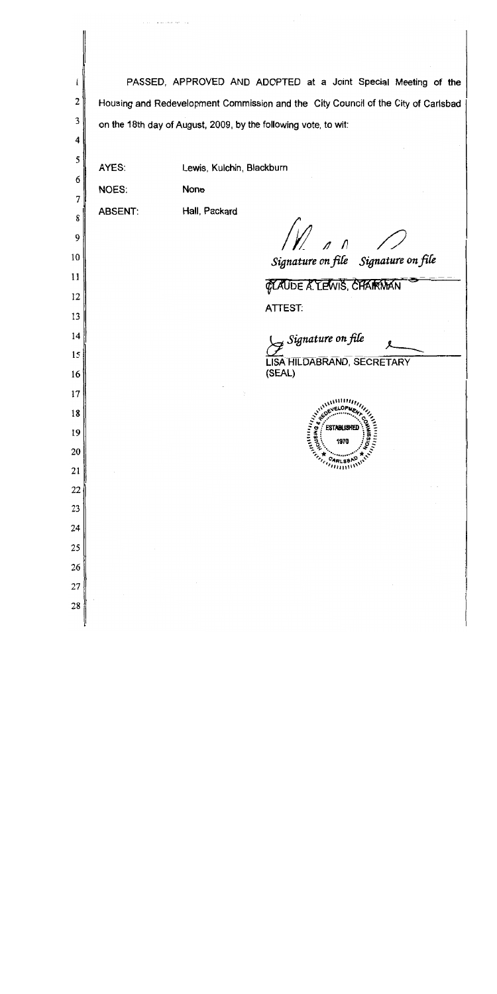| l        |                | PASSED, APPROVED AND ADOPTED at a Joint Special Meeting of the                    |
|----------|----------------|-----------------------------------------------------------------------------------|
| 2        |                | Housing and Redevelopment Commission and the City Council of the City of Carlsbad |
| 3        |                | on the 18th day of August, 2009, by the following vote, to wit:                   |
| 4        |                |                                                                                   |
| 5        | AYES:          | Lewis, Kulchin, Blackburn                                                         |
| 6<br>7   | NOES:          | None                                                                              |
| 8        | <b>ABSENT:</b> | Hall, Packard                                                                     |
| 9        |                | $\overline{M}$ or $\overline{N}$                                                  |
| 10       |                | Signature on file Signature on file                                               |
| 11       |                |                                                                                   |
| 12       |                | <b>GLAUDE A. LEWIS, CHARMAN</b>                                                   |
| 13       |                | <b>ATTEST:</b>                                                                    |
| 14       |                | $\mathcal{F}$ Signature on file                                                   |
| 15       |                | LISA HILDABRAND, SECRETARY                                                        |
| 16       |                | (SEAL)                                                                            |
| 17       |                | t,                                                                                |
| 18       |                | ANISTER ARE OF MELTING                                                            |
| 19<br>20 |                |                                                                                   |
| 21       |                | ANTITUDIUM                                                                        |
| 22       |                |                                                                                   |
| 23       |                |                                                                                   |
| 24       |                |                                                                                   |
| 25       |                |                                                                                   |
| 26       |                |                                                                                   |
| 27       |                |                                                                                   |
| 28       |                |                                                                                   |
|          |                |                                                                                   |

فالمحتملة والمتحادين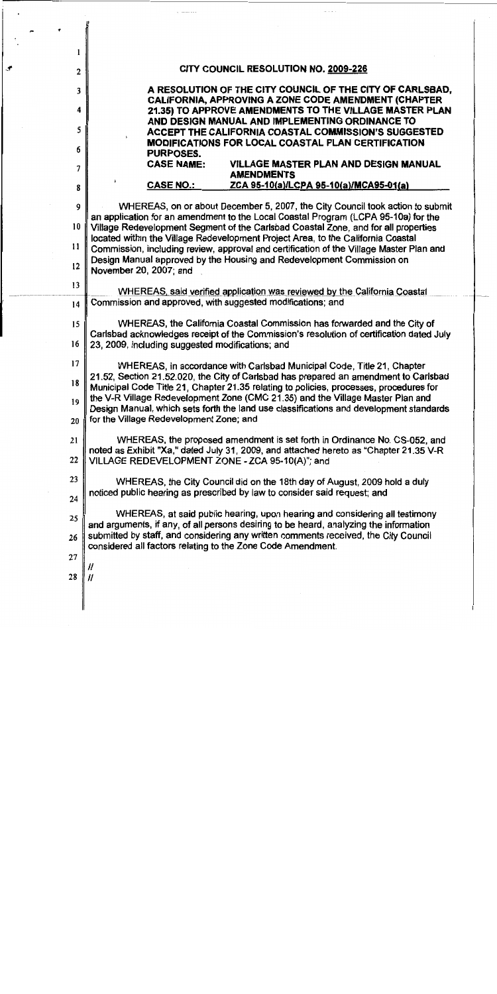| l  |                                                                                                                                                                                |  |  |  |  |  |  |  |
|----|--------------------------------------------------------------------------------------------------------------------------------------------------------------------------------|--|--|--|--|--|--|--|
| 2  | CITY COUNCIL RESOLUTION NO. 2009-226                                                                                                                                           |  |  |  |  |  |  |  |
| 3  | A RESOLUTION OF THE CITY COUNCIL OF THE CITY OF CARLSBAD,                                                                                                                      |  |  |  |  |  |  |  |
| 4  | CALIFORNIA, APPROVING A ZONE CODE AMENDMENT (CHAPTER<br>21.35) TO APPROVE AMENDMENTS TO THE VILLAGE MASTER PLAN                                                                |  |  |  |  |  |  |  |
| 5  | AND DESIGN MANUAL AND IMPLEMENTING ORDINANCE TO<br>ACCEPT THE CALIFORNIA COASTAL COMMISSION'S SUGGESTED                                                                        |  |  |  |  |  |  |  |
| 6  | <b>MODIFICATIONS FOR LOCAL COASTAL PLAN CERTIFICATION</b><br><b>PURPOSES.</b>                                                                                                  |  |  |  |  |  |  |  |
| 7  | <b>CASE NAME:</b><br>VILLAGE MASTER PLAN AND DESIGN MANUAL<br><b>AMENDMENTS</b>                                                                                                |  |  |  |  |  |  |  |
| 8  | <b>CASE NO.:</b><br>ZCA 95-10(a)/LCPA 95-10(a)/MCA95-01(a)                                                                                                                     |  |  |  |  |  |  |  |
| 9  | WHEREAS, on or about December 5, 2007, the City Council took action to submit                                                                                                  |  |  |  |  |  |  |  |
| 10 | an application for an amendment to the Local Coastal Program (LCPA 95-10a) for the<br>Village Redevelopment Segment of the Carlsbad Coastal Zone, and for all properties       |  |  |  |  |  |  |  |
| 11 | located within the Village Redevelopment Project Area, to the California Coastal<br>Commission, including review, approval and certification of the Village Master Plan and    |  |  |  |  |  |  |  |
| 12 | Design Manual approved by the Housing and Redevelopment Commission on<br>November 20, 2007; and                                                                                |  |  |  |  |  |  |  |
| 13 | WHEREAS, said verified application was reviewed by the California Coastal                                                                                                      |  |  |  |  |  |  |  |
| 14 | Commission and approved, with suggested modifications; and                                                                                                                     |  |  |  |  |  |  |  |
| 15 | WHEREAS, the California Coastal Commission has forwarded and the City of<br>Carlsbad acknowledges receipt of the Commission's resolution of certification dated July           |  |  |  |  |  |  |  |
| 16 | 23, 2009, including suggested modifications; and                                                                                                                               |  |  |  |  |  |  |  |
| 17 | WHEREAS, in accordance with Carlsbad Municipal Code, Title 21, Chapter                                                                                                         |  |  |  |  |  |  |  |
| 18 | 21.52, Section 21.52.020, the City of Carlsbad has prepared an amendment to Carlsbad<br>Municipal Code Title 21, Chapter 21.35 relating to policies, processes, procedures for |  |  |  |  |  |  |  |
| 19 | the V-R Village Redevelopment Zone (CMC 21.35) and the Village Master Plan and<br>Design Manual, which sets forth the land use classifications and development standards       |  |  |  |  |  |  |  |
| 20 | for the Village Redevelopment Zone; and                                                                                                                                        |  |  |  |  |  |  |  |
| 21 | WHEREAS, the proposed amendment is set forth in Ordinance No. CS-052, and<br>noted as Exhibit "Xa," dated July 31, 2009, and attached hereto as "Chapter 21.35 V-R             |  |  |  |  |  |  |  |
| 22 | VILLAGE REDEVELOPMENT ZONE - ZCA 95-10(A)"; and                                                                                                                                |  |  |  |  |  |  |  |
| 23 | WHEREAS, the City Council did on the 18th day of August, 2009 hold a duly                                                                                                      |  |  |  |  |  |  |  |
| 24 | noticed public hearing as prescribed by law to consider said request; and                                                                                                      |  |  |  |  |  |  |  |
| 25 | WHEREAS, at said public hearing, upon hearing and considering all testimony<br>and arguments, if any, of all persons desiring to be heard, analyzing the information           |  |  |  |  |  |  |  |
| 26 | submitted by staff, and considering any written comments received, the City Council<br>considered all factors relating to the Zone Code Amendment.                             |  |  |  |  |  |  |  |
| 27 |                                                                                                                                                                                |  |  |  |  |  |  |  |
| 28 | Н<br>11                                                                                                                                                                        |  |  |  |  |  |  |  |
|    |                                                                                                                                                                                |  |  |  |  |  |  |  |
|    |                                                                                                                                                                                |  |  |  |  |  |  |  |

 $\hat{z}$  -sizes as

ļ

 $\hat{\mathcal{L}}$ 

 $\pi$  ,  $\varphi$  ,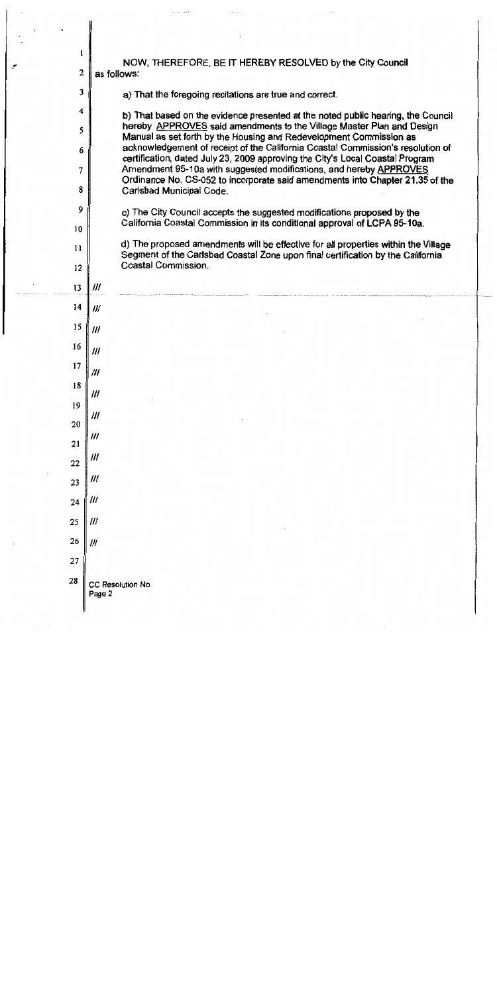| 1              | NOW, THEREFORE, BE IT HEREBY RESOLVED by the City Council                                                                                                        |
|----------------|------------------------------------------------------------------------------------------------------------------------------------------------------------------|
| $\overline{c}$ | as follows:                                                                                                                                                      |
| 3              | a) That the foregoing recitations are true and correct.                                                                                                          |
| 4              | b) That based on the evidence presented at the noted public hearing, the Council                                                                                 |
| 5              | hereby APPROVES said amendments to the Village Master Plan and Design<br>Manual as set forth by the Housing and Redevelopment Commission as                      |
| 6              | acknowledgement of receipt of the California Coastal Commission's resolution of<br>certification, dated July 23, 2009 approving the City's Local Coastal Program |
| 7              | Amendment 95-10a with suggested modifications, and hereby APPROVES<br>Ordinance No. CS-052 to incorporate said amendments into Chapter 21.35 of the              |
| 8              | Carlsbad Municipal Code.                                                                                                                                         |
| 9              | c) The City Council accepts the suggested modifications proposed by the<br>California Coastal Commission in its conditional approval of LCPA 95-10a.             |
| 10             | d) The proposed amendments will be effective for all properties within the Village                                                                               |
| 11             | Segment of the Carlsbad Coastal Zone upon final certification by the California<br>Coastal Commission.                                                           |
| 12<br>13       | 111                                                                                                                                                              |
| 14             | Ш                                                                                                                                                                |
| 15             |                                                                                                                                                                  |
| 16             | ///                                                                                                                                                              |
| 17             | 111                                                                                                                                                              |
| 18             | 111                                                                                                                                                              |
| 19             | 111                                                                                                                                                              |
| 20             | 111                                                                                                                                                              |
| 21             | ///                                                                                                                                                              |
| 22             | 111                                                                                                                                                              |
| 23             | 111                                                                                                                                                              |
| 24             | ///                                                                                                                                                              |
| 25             | ///                                                                                                                                                              |
| 26             | 111                                                                                                                                                              |
| 27             |                                                                                                                                                                  |
| 28             | CC Resolution No.<br>Page 2                                                                                                                                      |

 $\sim$ 

 $\mathcal{F}_{\mathcal{G}}$ 

 $\mathcal{A}$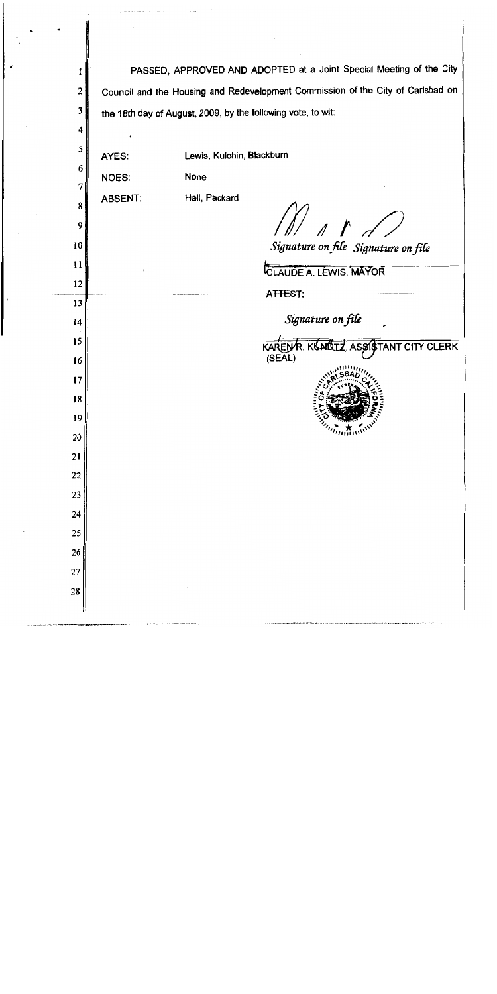| 1      |                | PASSED, APPROVED AND ADOPTED at a Joint Special Meeting of the City                                                                                                |
|--------|----------------|--------------------------------------------------------------------------------------------------------------------------------------------------------------------|
| 2      |                | Council and the Housing and Redevelopment Commission of the City of Carlsbad on                                                                                    |
| 3      |                | the 18th day of August, 2009, by the following vote, to wit:                                                                                                       |
| 4      |                |                                                                                                                                                                    |
| 5      | AYES:          | Lewis, Kulchin, Blackburn                                                                                                                                          |
| 6      | <b>NOES:</b>   | None                                                                                                                                                               |
| 7      | <b>ABSENT:</b> | Hall, Packard                                                                                                                                                      |
| 8<br>9 |                |                                                                                                                                                                    |
| 10     |                | $\begin{array}{c} \begin{array}{c} \end{array} & \begin{array}{c} \end{array} & \begin{array}{c} \end{array} & \end{array}$<br>Signature on file Signature on file |
| 11     |                |                                                                                                                                                                    |
| 12     |                | CLAUDE A. LEWIS, MAYOR                                                                                                                                             |
| 13     |                | -ATTEST∺                                                                                                                                                           |
| 14     |                |                                                                                                                                                                    |
| 15     |                | Signature on file<br>KARENR. KUNDIZ, ASSIGTANT CITY CLERK                                                                                                          |
| 16     |                | (SEAL)                                                                                                                                                             |
| 17     |                |                                                                                                                                                                    |
| 18     |                |                                                                                                                                                                    |
| 19     |                | 气                                                                                                                                                                  |
| 20     |                | <i>manni</i> n                                                                                                                                                     |
| 21     |                |                                                                                                                                                                    |
| 22     |                |                                                                                                                                                                    |
| 23     |                |                                                                                                                                                                    |
| 24     |                |                                                                                                                                                                    |
| 25     |                |                                                                                                                                                                    |
| 26     |                |                                                                                                                                                                    |
| 27     |                |                                                                                                                                                                    |
| 28     |                |                                                                                                                                                                    |

 $\hat{B}$  and the continuum for  $\hat{B}$  and  $\hat{B}$  ,  $\hat{B}$ 

. . . . . . . .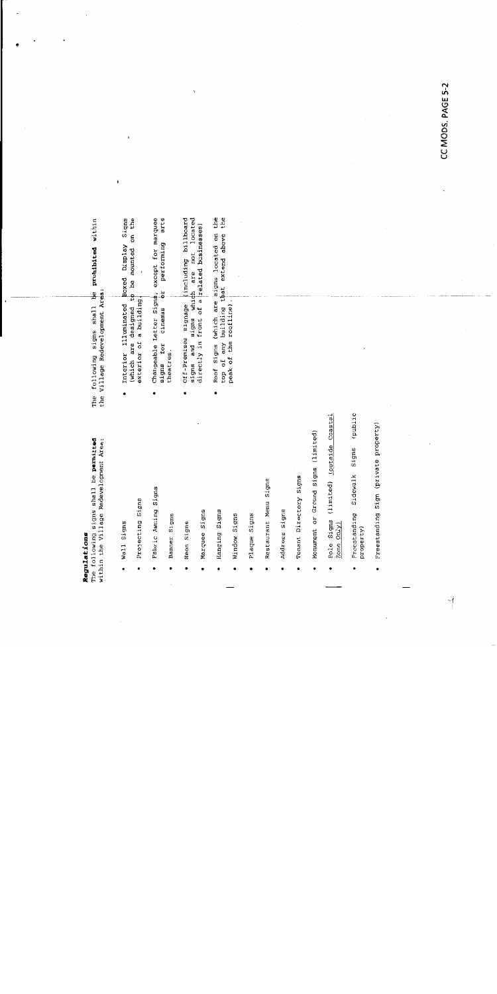## Regulations

The following signs shall be permitted<br>within the Village Redevelopment Area:

- wall Signs  $\ddot{\phantom{0}}$
- Projecting Signs .
- Fabric Awning Signs  $\bullet$
- Banner Signs .
- Neon Signs
- Marquee Signs
- Hanging Signs
- Window Signs
- Plaque Signs
- Restaurant Menu Signs .
- Address Signs  $\ddot{\phantom{0}}$
- Tenant Directory Signs
- Monument or Ground Signs (limited)
- Pole Signs (limited) (outside Coastal  $\frac{7 \text{one } \text{Only}}{2}$
- Sidewalk Signs (public Preestanding property) ï
- Freestanding Sign (private property) .

 $\rightarrow$ 

The following signs shall be prohibited within<br>the Village Redevelopment Area:

(which are designed to be mounted on the exterior of a building. Interior Illuminated boxed Display Signs  $\ddot{\phantom{0}}$ 

 $\ddot{\phantom{1}}$ 

- performing arts Changeable Letter Signs, except for marquee zq signs for cinemas theatres.  $\bullet$
- Off-Premises signage (including billboard<br>signs and signs which are not located<br>directly in front of a related businesses)  $\ddot{\phantom{0}}$
- Roof Signs (which are signs located on the top of any building that extend above the peak of the roofline).  $\bullet$

CC MODS. PAGE 5-2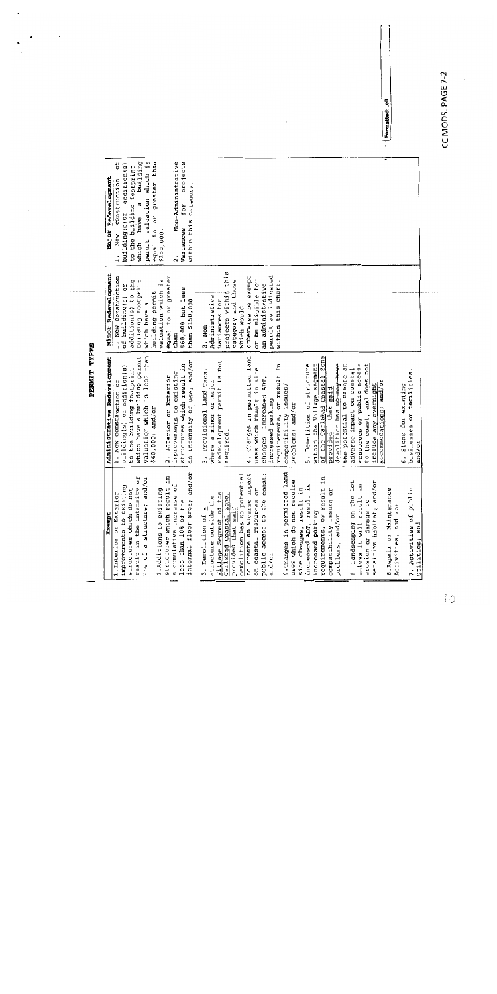CC MODS. PAGE 7-2

PERMIT TYPES

| Exempt                        | Administrative Redevelopment                                                                                                                 | Minor Redevelopment  | Major Redevelopment                     |                 |
|-------------------------------|----------------------------------------------------------------------------------------------------------------------------------------------|----------------------|-----------------------------------------|-----------------|
| 1. Interior or Exterior       | 1. New construction of                                                                                                                       | 1. New construction  | ă<br>construction<br>New<br>$\ddot{ }$  |                 |
| improvements to existing      | building(s) or addition(s)                                                                                                                   | of building(s) or    | addition(s)<br>building(s) or           |                 |
| structures which do not       | to the building footprint                                                                                                                    | addition(s) to the   | to the building footprint               |                 |
| result in the intensity of    | which have a building permit                                                                                                                 | building footprint   | building<br>d<br>have<br>which          |                 |
| a structure; and/or<br>use of | valuation which is less than                                                                                                                 | which have a         | permit valuation which is               |                 |
|                               | \$60,000; and/or                                                                                                                             | building permit      | greater than<br>equal to or             |                 |
| 2. Additions to existing      |                                                                                                                                              | valuation which is   | \$150,000.                              |                 |
| structures which result in    | 2. Interior or Exterior                                                                                                                      | equal to or greater  |                                         |                 |
| a cumulative increase of      | mprovements to existing                                                                                                                      | than                 | Non-Administrative<br>$\ddot{\text{a}}$ |                 |
| less than 10% of the          | structures which result in                                                                                                                   | \$60,000 but less    | for projects<br>Variances               |                 |
| internal floor area; and/or   | an intensity of use; and/or                                                                                                                  | than \$150,000.      | within this category.                   |                 |
| 3. Demolition of a            | 3. Provisional Land Uses,                                                                                                                    | $2.$ Non-            |                                         |                 |
| structure outside the         | where a minor or major                                                                                                                       | Administrative       |                                         |                 |
| Village Segment of the        | redevelopment permit is not                                                                                                                  | Variances for        |                                         |                 |
| Carlsbad Coastal Zone,        | required.                                                                                                                                    | projects within this |                                         |                 |
| provided that said            |                                                                                                                                              | category and those   |                                         |                 |
| demolition has no potential   |                                                                                                                                              | which would          |                                         |                 |
| to create an adverse impact   | . Changes in permitted land                                                                                                                  | otherwise be exempt  |                                         |                 |
| on coastal resources or       | uses which result in site                                                                                                                    | or be eligible for   |                                         |                 |
| public access to the coast;   | changes, increased ADT,                                                                                                                      | an administrative    |                                         |                 |
| and/or                        | ncreased parking<br>٠H                                                                                                                       | permit as indidated  |                                         |                 |
|                               | requirements, or result in                                                                                                                   | within this chart.   |                                         |                 |
| 4. Changes in permitted land  | compatibility issues,                                                                                                                        |                      |                                         |                 |
| uses which do not require     | problems; and/or                                                                                                                             |                      |                                         |                 |
| site changes, result in       |                                                                                                                                              |                      |                                         |                 |
| increased ADT, result in      | 5. Demolition of structure                                                                                                                   |                      |                                         |                 |
| increased parking             |                                                                                                                                              |                      |                                         |                 |
| requirements, or result in    |                                                                                                                                              |                      |                                         |                 |
| compatibility issues or       |                                                                                                                                              |                      |                                         |                 |
| problems; and/or              | within the Village segment<br>of the Carlsbad Coastal Zone<br>provided that said<br>demolition has no way have<br>the potential to create an |                      |                                         |                 |
|                               |                                                                                                                                              |                      |                                         |                 |
| lot<br>5. Landscaping on the  | adverse impact on coastal                                                                                                                    |                      |                                         |                 |
| unless it will result         | resources or public access                                                                                                                   |                      |                                         |                 |
| erosion or damage to          | to the coast, and does not                                                                                                                   |                      |                                         |                 |
| sensitive habitat; and/or     |                                                                                                                                              |                      |                                         |                 |
|                               | include any overnight<br>accommodations; and/or                                                                                              |                      |                                         |                 |
| 6. Repair or Maintenance      |                                                                                                                                              |                      |                                         | Formatted: Left |
| Activities; and /or           |                                                                                                                                              |                      |                                         |                 |
|                               | 6. Signs for existing<br>businesses or facilities;                                                                                           |                      |                                         |                 |
| 7. Activities of public       |                                                                                                                                              |                      |                                         |                 |
| utilities; and                | and/or                                                                                                                                       |                      |                                         |                 |
|                               |                                                                                                                                              |                      |                                         |                 |

Ió.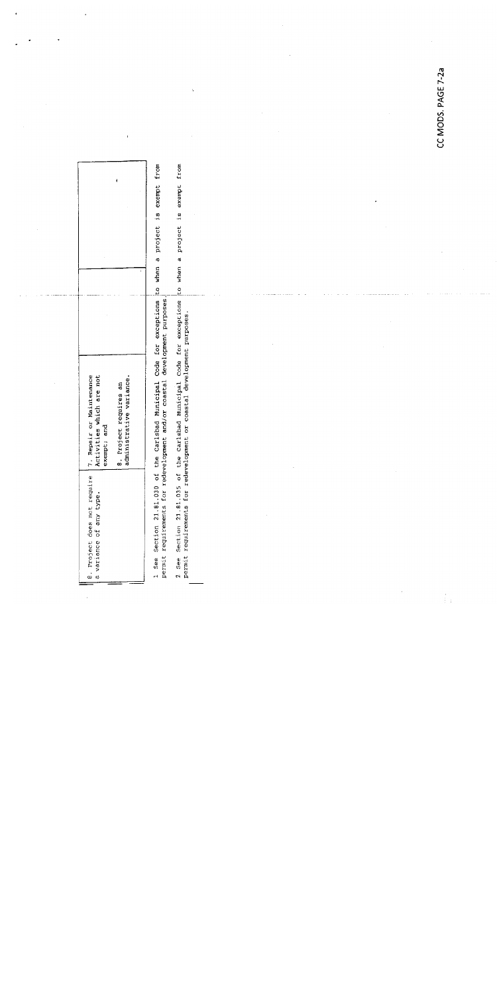| Activities which are not<br>exempt; and                                           | administrative variance.<br>8. Project reguires an |  |
|-----------------------------------------------------------------------------------|----------------------------------------------------|--|
| 8. Project does not require   7. Repair or Maintenance<br>a variance of any type. |                                                    |  |

 $\ddot{\phantom{a}}$ 

1 See Section 21.81.030 of the Carlsbad Municipal Code for exceptions to when a project is exempt from<br>permit requirements for redevelopment and/or coastal development purposes.

2 See Section 21.81.035 of the Carlsbad Municipal Code for exceptions to when a project is exempt from<br>permit requirements for redevelopment or coastal development purposes.

CC MODS. PAGE 7-2a

 $\frac{1}{2}$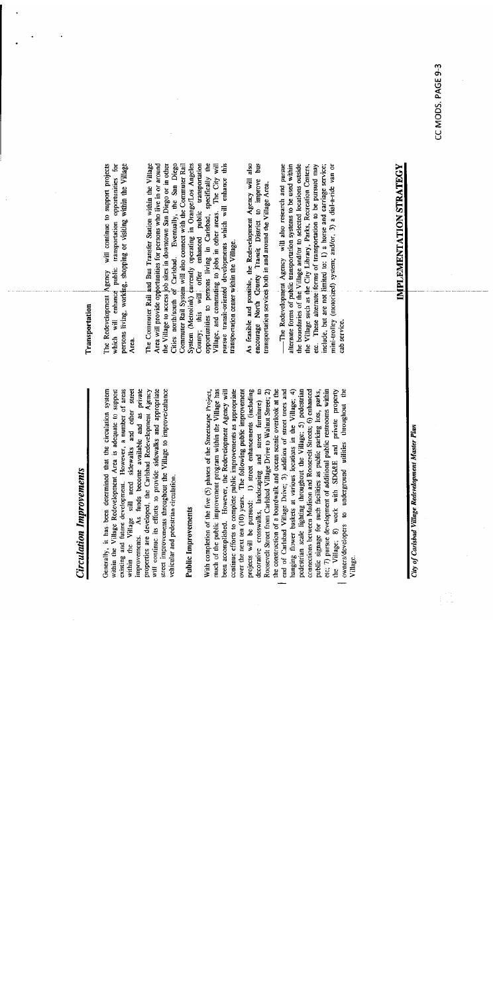# Circulation Improvements

existing and future development. However, a number of areas within the Village still need sidewalks and other street As funds become available and as private street improvements throughout the Village to improve/enhance properties are developed, the Carlsbad Redevelopment Agency will continue its efforts to provide sidewalks and appropriate within the Village Redevelopment Area is adequate to support Generally, it has been determined that the circulation system vehicular and pedestrian circulation. improvements.

# Public Improvements

much of the public improvement program within the Village has continue efforts to complete public improvements as appropriate he construction of a boardwalk and ocean scenic overlook at the end of Carlsbad Village Drive; 3) addition of street trees and pedestrian scale lighting throughout the Village; 5) pedestrian etc; 7) pursue development of additional public restrooms within been accomplished. However, the Redevelopment Agency will over the next ten (10) years. The following public improvement projects will be pursued: 1) street enhancements (including decorative crosswalks, landscaping and street farniture) to Roosevelt Street from Carlsbad Village Drive to Walnut Street; 2) hanging flower baskets at various locations in the Village; 4) connections between Madison and Roosevelt Streets; 6) enhanced public signage for such facilities as public parking lots, parks, the Village; 8) work with SDG&E and private property owners/developers to underground utilities throughout the With completion of the five (5) phases of the Streetscape Project,

## **Transportation**

persons living, working, shopping or visiting within the Village The Redevelopment Agency will continue to support projects which will enhance public transportation opportunities for Arca.

Cities north/south of Carlsbad. Eventually, the San Diego Area will provide opportunities for persons who live in or around the Village to access job sites in downtown San Diego or in other Commuter Rail System will also connect with the Commuter Rail System (Metrolink) currently operating in Orange/Los Angeles opportunities to persons living in Carlsbad, specifically the pursue transit-oriented developments which will enhance this The Commuter Rail and Bus Transfer Station within the Village public transportation The City will Village, and commuting to jobs in other areas. enhanced transportation center within the Village. this will offer County;

encourage North Clounty Transit District to improve bus As feasible and possible, the Redevelopment Agency will also transportation services both in and around the Village Area.

alternate forms of public transportation systems to be used within the boundaries of the Village and/or to selected locations outside The Redevelopment Agency will also research and pursue the Village such as the City Library, Parks, Recreation Centers, etc. These alternate forms of transportation to be pursued may include, but are not limited to: 1) a horse and carriage service; mini-trolley (motorized) system; and/or, 3) a dial-a-ride van or cab service.

City of Carlsbad Village Redevelopment Master Plan

i T

IMPLEMENTATION STRATEGY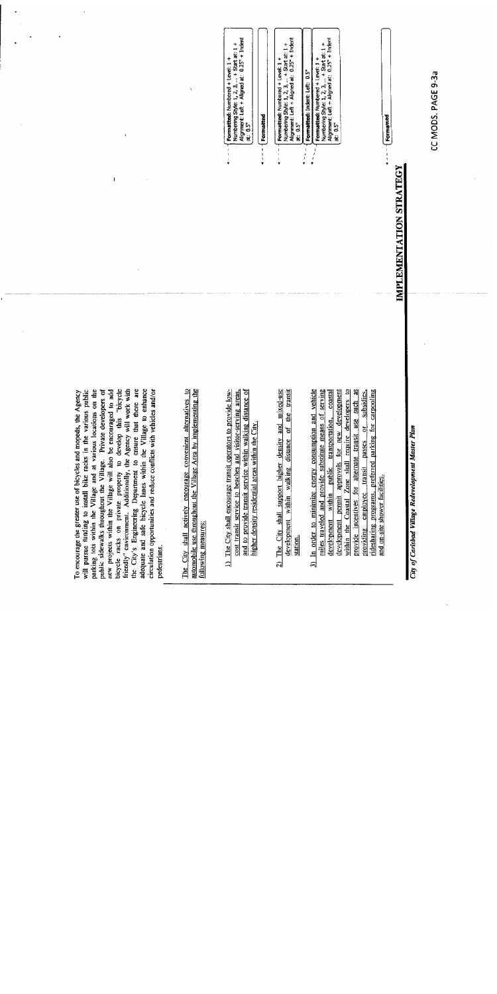bicycle racks on private property to develop this "bicycle adequate and safe bicycle lanes within the Village to enhance will pursue funding to install bike racks in the various public<br>parking lots within the Village and at various locations on the public sidewalks throughout the Village. Private developers of new projects within the Village will also be encouraged to add friendly" environment. Additionally, the Agency will work with the City's Engineering Department to ensure that there are circulation opportunities and reduce conflicts with vehicles and/or To encourage the greater use of bicycles and mopeds, the Agency pedestrians.

The City shall actively encourage convenient alternatives to automobile use throughout the Village Area by implementing the following measures:

- 1) The City shall encourage transit operators to provide lowcost transit service to beaches and visitor-serving areas, and to provide transit service within walking distance of higher density residential areas within the City.
- 2) The City shall support higher density and mixed-use development within walking distance of the transit station.
- 3) In order to minimize energy consumption and vehicle miles traveled and provide substitute means of serving development permit approvals for new development within the Coastal Zone shall require developers to provide incentives for alternate transit use such as providing employee transit passes or subsidies, development within public transportation, coastal ridesharing programs, preferred parking for carpooling and on-site shower facilities.

Numbering Style: 1, 2, 3, ... + Start at: 1 +<br>Alignment: Left + Aligned at: 0.25" + Indent<br>at: 0.5" **Formatted:** Numbered + Leve! 1 +<br>Numbering Style: 1, 2, 3, ... + Start at: 1 +<br>Alignment: Left + Aligned at: 0.25° + Indent<br>at: 0.5° Numbering Style: 1, 2, 3, ... + Start at: 1 +<br>Alignment: Left + Aligned at: 0.25° + Indent Formatted: Numbered + Level: 1 + Formatted: Indent: Left: 0.5\* Formatted at: 0.5"  $\cdot$  $\frac{1}{2}$ 

Formatted: Numbered + Level: 1 +

IMPLEMENTATION STRATEGY

CC MODS. PAGE 9-3a

Formatted

City of Carlsbad Village Redevelopment Master Plan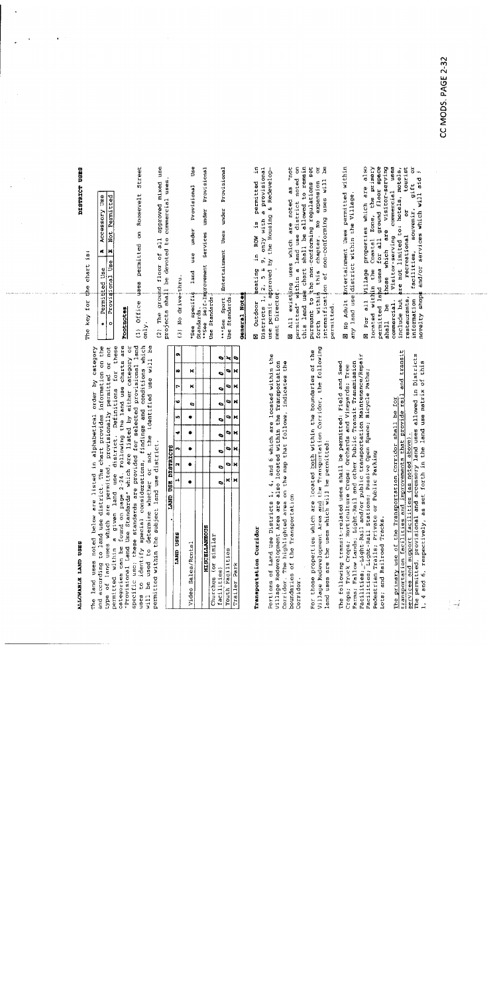## **ALLOWABLE LAND USES**

The key for permitted within a given land use district. Definitions for these<br>Categories can be found on page 2-24. Following the land use charts are "Provisional Land Use Standards" which are listed by either category or<br>specific use; these standards are provided for selected provisional land<br>uses to identify special considerations, findings and conditions which will be used to determine whether or not the identified use will be<br>permitted within the subject land use district. and according to land use district. The chart provides information on the type of land uses which are permitted, provisionally permitted or not The land uses noted below are listed in alphabetical order by category be used to

| LAND USES            |  |                          | $ -$ | $\overline{a}$ | 8 | 9 |
|----------------------|--|--------------------------|------|----------------|---|---|
| Video Sales/Rontal   |  | $\overline{\phantom{a}}$ | 9    | $\frac{1}{1}$  | × |   |
|                      |  |                          |      |                |   |   |
| <b>MISCELLANEOUS</b> |  |                          |      |                |   |   |
| Churches (or similar |  |                          |      |                |   |   |
| facilities)          |  |                          |      |                |   |   |
| Youth Pacilities     |  |                          |      |                |   |   |
| Trailer Park         |  |                          |      |                |   |   |

# Transportation Corridor

Portions of Land Use Districts 1, 4, and 6 which are located within the Village Redevelopment Area are also located within the Transportation<br>Corridor. The highlighted area on the map that follows, indicates the boundaries of the Transportation Corridor.

Village Redevelopment Area and the Transportation Corridor, the following For those properties which are located both within the boundaries of the land uses are the uses which will be permitted:

Crops; Truck Crops; Horticulture Crops; Orchards and Vineyards; Tree<br>Parms; Fallow Lands; Light-Rail and other Public Transit Transmission<br>Facilities; Light-Rail and/or public transportation Maintenance/Repair<br>Facilities; The following transit-related uses shall be permitted: Field and Seed Lots; and Railroad Tracks.

transportation facilities and improvements that provide rail and transit The primary use of the Transportation Corridor shall be for

services and support facilities (as noted above).<br>The permitted, provisional and accessory land uses allowed in Districts<br>1, 4 and 6, respectively, as set forth in the land use matrix of this

DISTRICT USES

the chart is:

|   | Permitted<br>ا | Use |         | ť |        | Use<br>Accessory |  |
|---|----------------|-----|---------|---|--------|------------------|--|
| Ď | Arovisional    |     | ge<br>D |   | ں<br>2 | Permitted        |  |
|   |                |     |         |   |        |                  |  |

## Pootnotes

(1) Office uses permitted on Roosevelt Street only.

use projects shall be devoted to commercial uses. (2) The ground floor of all approved mixed

(3) No drive+thru.

Use \*\*See Self-Improvement Services under Provisional Provisional under use land specific Use Standards Standards  $rac{0}{2}$ 

Entertainment Uses under Provisional \*\*\*See Sport Use Standards

## General Notes

£. Districts 1. 2, 5 & 9, only with a provisional use permit approved by the Housing & Redevelopis permitted seating in ROW ment Director **N** Outdoor

permitted" within a land use district noted on<br>this land use chart shall be allowed to remain ag<br>B M All existing uses which are noted as "not pursuant to the non-conforming regulations set intensification of non-conforming uses will this chapter. No expansion forth within permitted. phtertainment Uses permitted within E No Adult Entertainment Uses permitted<br>any land use district within the Village.

 $\overleftarrow{\textbf{o}}$ Village properties which are also located within the Coastal Zone, the primary<br>permitted land uses for all ground floor space which are visitor-serving Visitor-serving commercial uses are not limited to: hotels, motels, tourist information [facilities, souvenir, gift or<br>novelty shops and/or services which will aid  $i$ ă recreational those restaurants, commercial. include but E For all shall be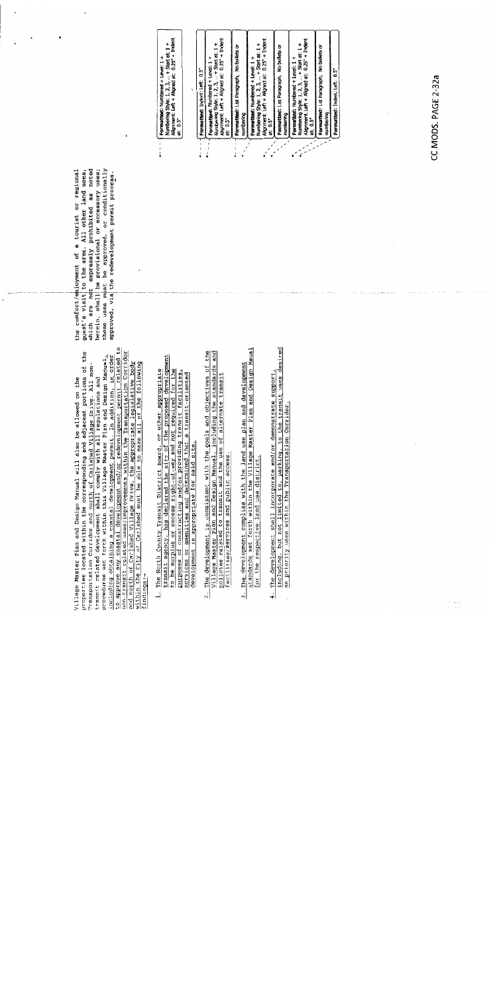including obtaining a coastal development permit. In addition, in order<br>to approve any coastal development and/or redevelopment permit related to properties located within the corresponding and adjacent portions of the Transportation Corridor and northern caribbed Village Drive. All non-<br>transit related development shall comply with all regulations and procedures se non-transit related uses/improvements within the Transportation Corridor<br>and north of Carlsbad Village Drive, the appropriate legislative body<br>within the City of Carlsbad must be able to make all of the following Village Master Plan and Design Manual will also be allowed on the findings:-

transit agency, has declared the site of the proposed development<br>to be surplus or excess right-of-way and not required for the<br>purposes of constructing and/or providing transit facilities,<br>scrvices or amenities and determ 1. The North County Transit District Board, or other appropriate

- The development is consistent with the goals and objectives of the Village Master Plan and Design Manual, including the standards and policies related to transit and the use of alternate transit facilities/services and public access.  $\overline{\mathcal{N}}$
- standards set forth within the Village Master Plan and Design Maual The development complies with the land use plan and development for the respective land use district.
- The development shall incorporate and/or demonstrate support,<br>including, but not limited to, parking, to the transit uses desired<br>as priority uses within the Transportation Corridor. ⊣∔

which are not expressly prohibited as noted herein, shall be provisional or accessory uses; these uses must be approved, or conditionally guest's visit to the area. All other land uses, the comfort/enjoyment of a tourist or regional approved, via the redevelopment permit process.

| $0.25" + Indent$<br>Numbering Style: 1, 2, 3,  + Start at: 1<br>Formatted: Numbered + Level: 1<br>Alignment: Left + Aligned at:<br>at: 0.5° | ់ចំ<br>Formatted: Indent: Left: | Alignment: Left + Aligned at: 0.25° + Indent<br>+ Start at: 1<br>Formatted: Numbered + Level: 1<br>Numbering Style: 1, 2, 3,<br>at: 0.5" | Formatted: List Paragraph, No bullets or<br>numbering | Alignment: Left + Aligned at: 0.25" + Indent<br>Numbering Style: 1, 2, 3,  + Start at: 1 +<br>Formatted: Numbered + Level: 1+<br>5"<br>0.5<br>ä | No builets or<br>Formatted: List Paragraph,<br>numbering | $0.25" +$ Indent<br>$+$ Start at: $1$<br>Formatted: Numbered + Level: 1<br>Alignment: Left + Aligned at:<br>Numbering Style: 1, 2, 3,<br>ឺ<br>0.5<br>ដូ | Formatted: List Paragraph, No bullets or<br>numbering | ្មែ<br>Formatted: Indent: Left: |
|---------------------------------------------------------------------------------------------------------------------------------------------|---------------------------------|------------------------------------------------------------------------------------------------------------------------------------------|-------------------------------------------------------|-------------------------------------------------------------------------------------------------------------------------------------------------|----------------------------------------------------------|---------------------------------------------------------------------------------------------------------------------------------------------------------|-------------------------------------------------------|---------------------------------|
|                                                                                                                                             |                                 |                                                                                                                                          |                                                       |                                                                                                                                                 |                                                          |                                                                                                                                                         |                                                       |                                 |

CC MODS. PAGE 2-32a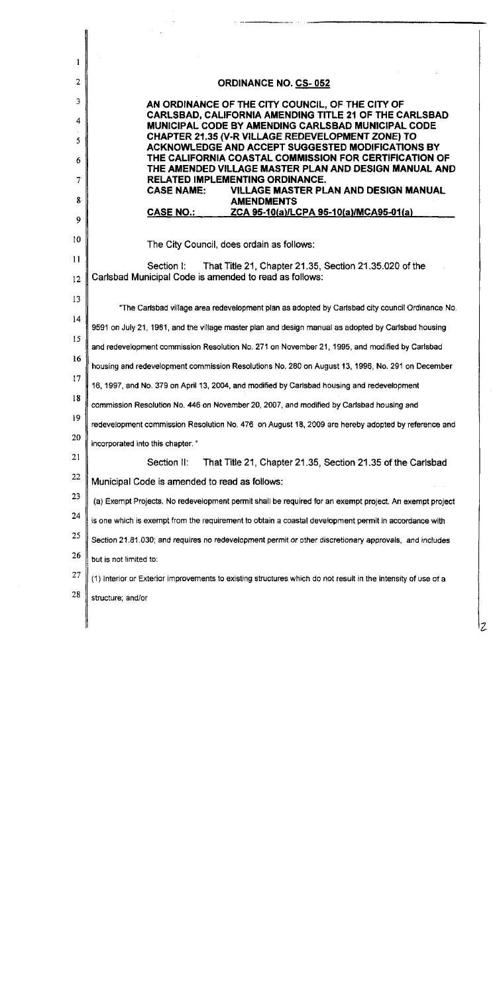| 1  |                                                                                                                 |
|----|-----------------------------------------------------------------------------------------------------------------|
| 2  | <b>ORDINANCE NO. CS-052</b>                                                                                     |
| 3  | AN ORDINANCE OF THE CITY COUNCIL, OF THE CITY OF<br>CARLSBAD, CALIFORNIA AMENDING TITLE 21 OF THE CARLSBAD      |
| 4  | MUNICIPAL CODE BY AMENDING CARLSBAD MUNICIPAL CODE                                                              |
| 5  | CHAPTER 21.35 (V-R VILLAGE REDEVELOPMENT ZONE) TO<br>ACKNOWLEDGE AND ACCEPT SUGGESTED MODIFICATIONS BY          |
| 6  | THE CALIFORNIA COASTAL COMMISSION FOR CERTIFICATION OF<br>THE AMENDED VILLAGE MASTER PLAN AND DESIGN MANUAL AND |
| 7  | <b>RELATED IMPLEMENTING ORDINANCE.</b><br><b>CASE NAME:</b><br><b>VILLAGE MASTER PLAN AND DESIGN MANUAL</b>     |
| 8  | <b>AMENDMENTS</b><br><b>CASE NO.:</b><br>ZCA 95-10(a)/LCPA 95-10(a)/MCA95-01(a)                                 |
| 9  |                                                                                                                 |
| 10 | The City Council, does ordain as follows:                                                                       |
| 11 | That Title 21, Chapter 21.35, Section 21.35.020 of the<br>Section I:                                            |
| 12 | Carlsbad Municipal Code is amended to read as follows:                                                          |
| 13 | "The Carlsbad village area redevelopment plan as adopted by Carlsbad city council Ordinance No.                 |
| 14 | 9591 on July 21, 1981, and the village master plan and design manual as adopted by Carlsbad housing             |
| 15 | and redevelopment commission Resolution No. 271 on November 21, 1995, and modified by Carlsbad                  |
| 16 | housing and redevelopment commission Resolutions No. 280 on August 13, 1996, No. 291 on December                |
| 17 | 16, 1997, and No. 379 on April 13, 2004, and modified by Carlsbad housing and redevelopment                     |
| 18 | commission Resolution No. 446 on November 20, 2007, and modified by Carlsbad housing and                        |
| 19 | redevelopment commission Resolution No. 476 on August 18, 2009 are hereby adopted by reference and              |
| 20 | incorporated into this chapter."                                                                                |
| 21 | Section II:<br>That Title 21, Chapter 21.35, Section 21.35 of the Carlsbad                                      |
| 22 | Municipal Code is amended to read as follows:                                                                   |
| 23 | (a) Exempt Projects. No redevelopment permit shall be required for an exempt project. An exempt project         |
| 24 | is one which is exempt from the requirement to obtain a coastal development permit in accordance with           |
| 25 | Section 21.81.030; and requires no redevelopment permit or other discretionary approvals, and includes          |
| 26 | but is not limited to:                                                                                          |
| 27 | (1) Interior or Exterior improvements to existing structures which do not result in the intensity of use of a   |
| 28 | structure, and/or                                                                                               |
|    |                                                                                                                 |
|    |                                                                                                                 |

 $\overline{z}$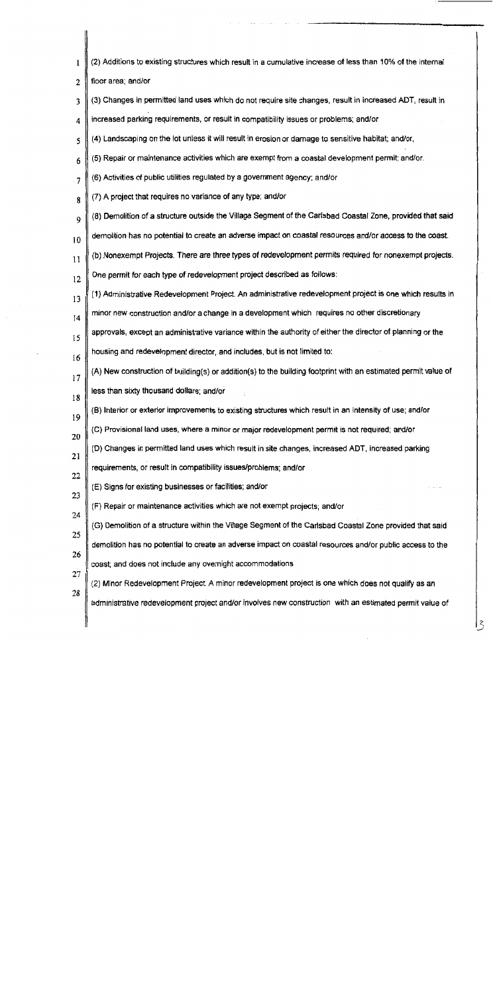| 1  | (2) Additions to existing structures which result in a cumulative increase of less than 10% of the internal    |
|----|----------------------------------------------------------------------------------------------------------------|
| 2  | floor area; and/or                                                                                             |
| 3  | (3) Changes in permitted land uses which do not require site changes, result in increased ADT, result in       |
| 4  | increased parking requirements, or result in compatibility issues or problems; and/or                          |
| 5  | (4) Landscaping on the lot unless it will result in erosion or damage to sensitive habitat; and/or,            |
| 6  | (5) Repair or maintenance activities which are exempt from a coastal development permit; and/or.               |
| 7  | (6) Activities of public utilities regulated by a government agency; and/or                                    |
| 8  | (7) A project that requires no variance of any type; and/or                                                    |
| 9  | (8) Demolition of a structure outside the Village Segment of the Carlsbad Coastal Zone, provided that said     |
| 10 | demolition has no potential to create an adverse impact on coastal resources and/or access to the coast.       |
| 11 | (b) Nonexempt Projects. There are three types of redevelopment permits required for nonexempt projects.        |
| 12 | One permit for each type of redevelopment project described as follows:                                        |
| 13 | (1) Administrative Redevelopment Project. An administrative redevelopment project is one which results in      |
| 14 | minor new construction and/or a change in a development which requires no other discretionary                  |
| 15 | approvals, except an administrative variance within the authority of either the director of planning or the    |
| 16 | housing and redevelopment director, and includes, but is not limited to:                                       |
| 17 | (A) New construction of building(s) or addition(s) to the building footprint with an estimated permit value of |
| 18 | less than sixty thousand dollars; and/or                                                                       |
| 19 | (B) Interior or exterior improvements to existing structures which result in an intensity of use; and/or       |
| 20 | (C) Provisional land uses, where a minor or major redevelopment permit is not required; and/or                 |
| 21 | (D) Changes in permitted land uses which result in site changes, increased ADT, increased parking              |
| 22 | requirements, or result in compatibility issues/problems; and/or                                               |
| 23 | (E) Signs for existing businesses or facilities; and/or                                                        |
| 24 | (F) Repair or maintenance activities which are not exempt projects; and/or                                     |
| 25 | (G) Demolition of a structure within the Village Segment of the Carlsbad Coastal Zone provided that said       |
| 26 | demolition has no potential to create an adverse impact on coastal resources and/or public access to the       |
| 27 | coast; and does not include any overnight accommodations                                                       |
| 28 | (2) Minor Redevelopment Project. A minor redevelopment project is one which does not qualify as an             |
|    | administrative redevelopment project and/or involves new construction with an estimated permit value of        |
|    |                                                                                                                |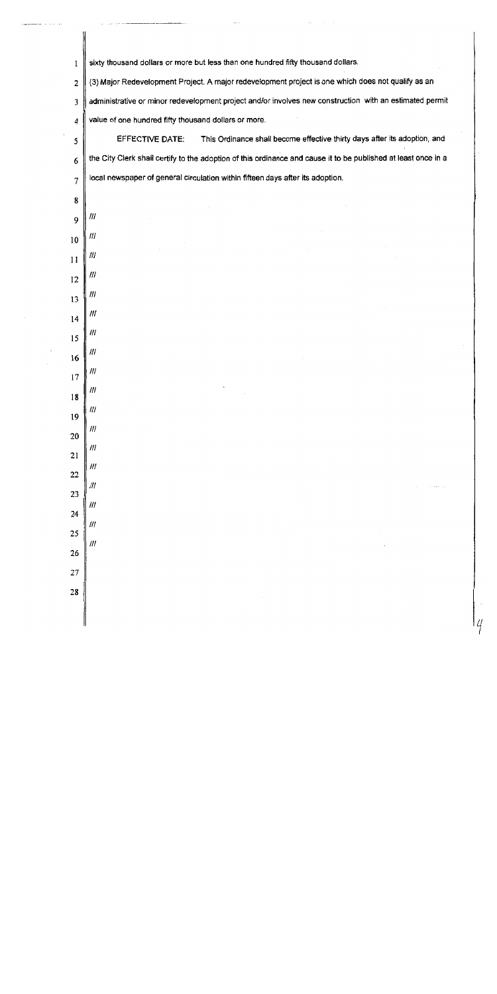| l              | sixty thousand dollars or more but less than one hundred fifty thousand dollars.                               |
|----------------|----------------------------------------------------------------------------------------------------------------|
| $\overline{2}$ | (3) Major Redevelopment Project. A major redevelopment project is one which does not qualify as an             |
| 3              | administrative or minor redevelopment project and/or involves new construction with an estimated permit        |
| 4              | value of one hundred fifty thousand dollars or more.                                                           |
| 5              | This Ordinance shall become effective thirty days after its adoption, and<br>EFFECTIVE DATE:                   |
| 6              | the City Clerk shall certify to the adoption of this ordinance and cause it to be published at least once in a |
| 7              | local newspaper of general circulation within fifteen days after its adoption.                                 |
| 8              |                                                                                                                |
| 9              | ///                                                                                                            |
| 10             | 111                                                                                                            |
| 11             | 111                                                                                                            |
| 12             | 111                                                                                                            |
| 13             | 111                                                                                                            |
| 14             | 111                                                                                                            |
| 15             | 111                                                                                                            |
| 16             | ///                                                                                                            |
| 17             | 111                                                                                                            |
| 18             | Ш                                                                                                              |
| 19             | $\eta$                                                                                                         |
| 20             | $\#$<br>$^{\prime\prime\prime}$                                                                                |
| 21             | $\mathcal{H}$                                                                                                  |
| 22             | $\mathcal{U}^{\prime}$                                                                                         |
| 23             | $\mu$                                                                                                          |
| 24             | $\mathcal{U}l$                                                                                                 |
| 25             | $\left  \mathcal{W} \right $                                                                                   |
| 26             |                                                                                                                |
| 27             |                                                                                                                |
| 28             |                                                                                                                |
|                |                                                                                                                |

 $\cdot$ 

 $\overline{\phantom{a}}$